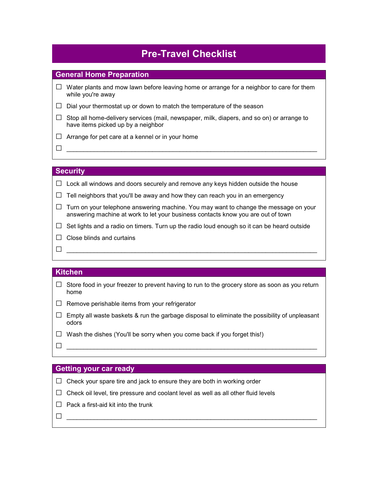# **Pre-Travel Checklist**

### **General Home Preparation**

- **□** Water plants and mow lawn before leaving home or arrange for a neighbor to care for them while you're away
- **□** Dial your thermostat up or down to match the temperature of the season
- **□** Stop all home-delivery services (mail, newspaper, milk, diapers, and so on) or arrange to have items picked up by a neighbor
- **□** Arrange for pet care at a kennel or in your home

**□** \_\_\_\_\_\_\_\_\_\_\_\_\_\_\_\_\_\_\_\_\_\_\_\_\_\_\_\_\_\_\_\_\_\_\_\_\_\_\_\_\_\_\_\_\_\_\_\_\_\_\_\_\_\_\_\_\_\_\_\_\_\_\_\_\_\_\_\_\_\_\_\_\_

# **Security**

**□** Lock all windows and doors securely and remove any keys hidden outside the house

- $\Box$  Tell neighbors that you'll be away and how they can reach you in an emergency
- **□** Turn on your telephone answering machine. You may want to change the message on your answering machine at work to let your business contacts know you are out of town
- $\Box$  Set lights and a radio on timers. Turn up the radio loud enough so it can be heard outside
- **□** Close blinds and curtains

#### **Kitchen**

- **□** Store food in your freezer to prevent having to run to the grocery store as soon as you return home
- **□** Remove perishable items from your refrigerator
- **□** Empty all waste baskets & run the garbage disposal to eliminate the possibility of unpleasant odors

**□** \_\_\_\_\_\_\_\_\_\_\_\_\_\_\_\_\_\_\_\_\_\_\_\_\_\_\_\_\_\_\_\_\_\_\_\_\_\_\_\_\_\_\_\_\_\_\_\_\_\_\_\_\_\_\_\_\_\_\_\_\_\_\_\_\_\_\_\_\_\_\_\_\_

**□** Wash the dishes (You'll be sorry when you come back if you forget this!)

**□** \_\_\_\_\_\_\_\_\_\_\_\_\_\_\_\_\_\_\_\_\_\_\_\_\_\_\_\_\_\_\_\_\_\_\_\_\_\_\_\_\_\_\_\_\_\_\_\_\_\_\_\_\_\_\_\_\_\_\_\_\_\_\_\_\_\_\_\_\_\_\_\_\_

#### **Getting your car ready**

- **□** Check your spare tire and jack to ensure they are both in working order
- **□** Check oil level, tire pressure and coolant level as well as all other fluid levels
- **□** Pack a first-aid kit into the trunk